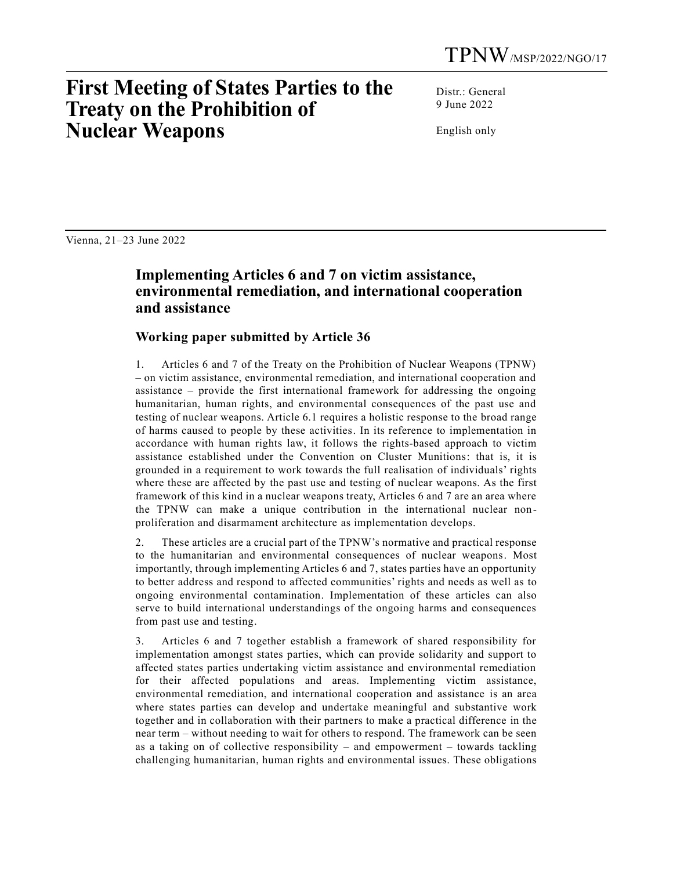## **First Meeting of States Parties to the Treaty on the Prohibition of Nuclear Weapons**

Distr.: General 9 June 2022

English only

Vienna, 21–23 June 2022

## **Implementing Articles 6 and 7 on victim assistance, environmental remediation, and international cooperation and assistance**

## **Working paper submitted by Article 36**

1. Articles 6 and 7 of the Treaty on the Prohibition of Nuclear Weapons (TPNW) – on victim assistance, environmental remediation, and international cooperation and assistance – provide the first international framework for addressing the ongoing humanitarian, human rights, and environmental consequences of the past use and testing of nuclear weapons. Article 6.1 requires a holistic response to the broad range of harms caused to people by these activities. In its reference to implementation in accordance with human rights law, it follows the rights-based approach to victim assistance established under the Convention on Cluster Munitions: that is, it is grounded in a requirement to work towards the full realisation of individuals' rights where these are affected by the past use and testing of nuclear weapons. As the first framework of this kind in a nuclear weapons treaty, Articles 6 and 7 are an area where the TPNW can make a unique contribution in the international nuclear nonproliferation and disarmament architecture as implementation develops.

2. These articles are a crucial part of the TPNW's normative and practical response to the humanitarian and environmental consequences of nuclear weapons. Most importantly, through implementing Articles 6 and 7, states parties have an opportunity to better address and respond to affected communities' rights and needs as well as to ongoing environmental contamination. Implementation of these articles can also serve to build international understandings of the ongoing harms and consequences from past use and testing.

3. Articles 6 and 7 together establish a framework of shared responsibility for implementation amongst states parties, which can provide solidarity and support to affected states parties undertaking victim assistance and environmental remediation for their affected populations and areas. Implementing victim assistance, environmental remediation, and international cooperation and assistance is an area where states parties can develop and undertake meaningful and substantive work together and in collaboration with their partners to make a practical difference in the near term – without needing to wait for others to respond. The framework can be seen as a taking on of collective responsibility – and empowerment – towards tackling challenging humanitarian, human rights and environmental issues. These obligations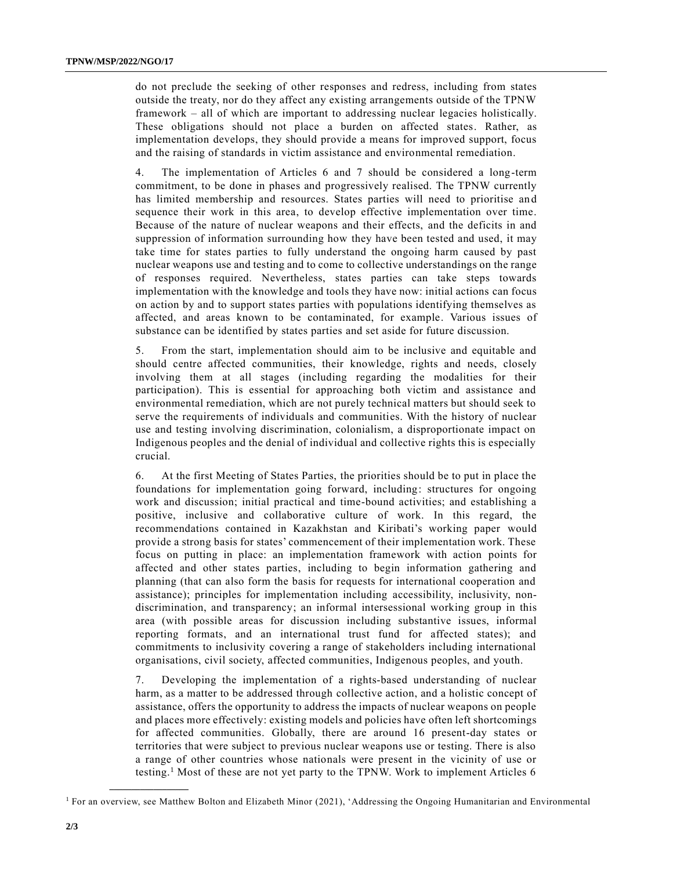do not preclude the seeking of other responses and redress, including from states outside the treaty, nor do they affect any existing arrangements outside of the TPNW framework – all of which are important to addressing nuclear legacies holistically. These obligations should not place a burden on affected states. Rather, as implementation develops, they should provide a means for improved support, focus and the raising of standards in victim assistance and environmental remediation.

4. The implementation of Articles 6 and 7 should be considered a long-term commitment, to be done in phases and progressively realised. The TPNW currently has limited membership and resources. States parties will need to prioritise and sequence their work in this area, to develop effective implementation over time. Because of the nature of nuclear weapons and their effects, and the deficits in and suppression of information surrounding how they have been tested and used, it may take time for states parties to fully understand the ongoing harm caused by past nuclear weapons use and testing and to come to collective understandings on the range of responses required. Nevertheless, states parties can take steps towards implementation with the knowledge and tools they have now: initial actions can focus on action by and to support states parties with populations identifying themselves as affected, and areas known to be contaminated, for example. Various issues of substance can be identified by states parties and set aside for future discussion.

5. From the start, implementation should aim to be inclusive and equitable and should centre affected communities, their knowledge, rights and needs, closely involving them at all stages (including regarding the modalities for their participation). This is essential for approaching both victim and assistance and environmental remediation, which are not purely technical matters but should seek to serve the requirements of individuals and communities. With the history of nuclear use and testing involving discrimination, colonialism, a disproportionate impact on Indigenous peoples and the denial of individual and collective rights this is especially crucial.

6. At the first Meeting of States Parties, the priorities should be to put in place the foundations for implementation going forward, including: structures for ongoing work and discussion; initial practical and time-bound activities; and establishing a positive, inclusive and collaborative culture of work. In this regard, the recommendations contained in Kazakhstan and Kiribati's working paper would provide a strong basis for states' commencement of their implementation work. These focus on putting in place: an implementation framework with action points for affected and other states parties, including to begin information gathering and planning (that can also form the basis for requests for international cooperation and assistance); principles for implementation including accessibility, inclusivity, nondiscrimination, and transparency; an informal intersessional working group in this area (with possible areas for discussion including substantive issues, informal reporting formats, and an international trust fund for affected states); and commitments to inclusivity covering a range of stakeholders including international organisations, civil society, affected communities, Indigenous peoples, and youth.

7. Developing the implementation of a rights-based understanding of nuclear harm, as a matter to be addressed through collective action, and a holistic concept of assistance, offers the opportunity to address the impacts of nuclear weapons on people and places more effectively: existing models and policies have often left shortcomings for affected communities. Globally, there are around 16 present-day states or territories that were subject to previous nuclear weapons use or testing. There is also a range of other countries whose nationals were present in the vicinity of use or testing.<sup>1</sup> Most of these are not yet party to the TPNW. Work to implement Articles 6

**\_\_\_\_\_\_\_\_\_\_\_\_\_\_\_\_\_\_**

<sup>1</sup> For an overview, see Matthew Bolton and Elizabeth Minor (2021), 'Addressing the Ongoing Humanitarian and Environmental